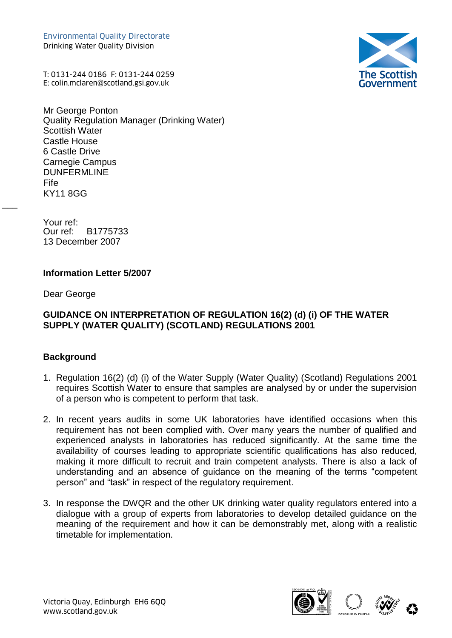Environmental Quality Directorate Drinking Water Quality Division Environmental Quality Directorate<br>Drinking Water Quality Division<br>T: 0131-244 0186 F: 0131-244 0259<br>E: colin.mclaren@scotland.gsi.gov.uk

**The Scottish**<br>Government

T: 0131-244 0186 F: 0131-244 0259

Mr George Ponton Quality Regulation Manager (Drinking Water) Scottish Water Castle House 6 Castle Drive Carnegie Campus DUNFERMLINE Fife KY11 8GG

Your ref:<br>Our ref: B1775733 13 December 2007

#### **Information Letter 5/2007**

Dear George

 $\overline{\phantom{a}}$ 

### **GUIDANCE ON INTERPRETATION OF REGULATION 16(2) (d) (i) OF THE WATER SUPPLY (WATER QUALITY) (SCOTLAND) REGULATIONS 2001**

### **Background**

- 1. Regulation 16(2) (d) (i) of the Water Supply (Water Quality) (Scotland) Regulations 2001 requires Scottish Water to ensure that samples are analysed by or under the supervision of a person who is competent to perform that task.
- 2. In recent years audits in some UK laboratories have identified occasions when this requirement has not been complied with. Over many years the number of qualified and experienced analysts in laboratories has reduced significantly. At the same time the availability of courses leading to appropriate scientific qualifications has also reduced, making it more difficult to recruit and train competent analysts. There is also a lack of understanding and an absence of guidance on the meaning of the terms "competent person" and "task" in respect of the regulatory requirement.
- 3. In response the DWQR and the other UK drinking water quality regulators entered into a dialogue with a group of experts from laboratories to develop detailed guidance on the meaning of the requirement and how it can be demonstrably met, along with a realistic timetable for implementation.